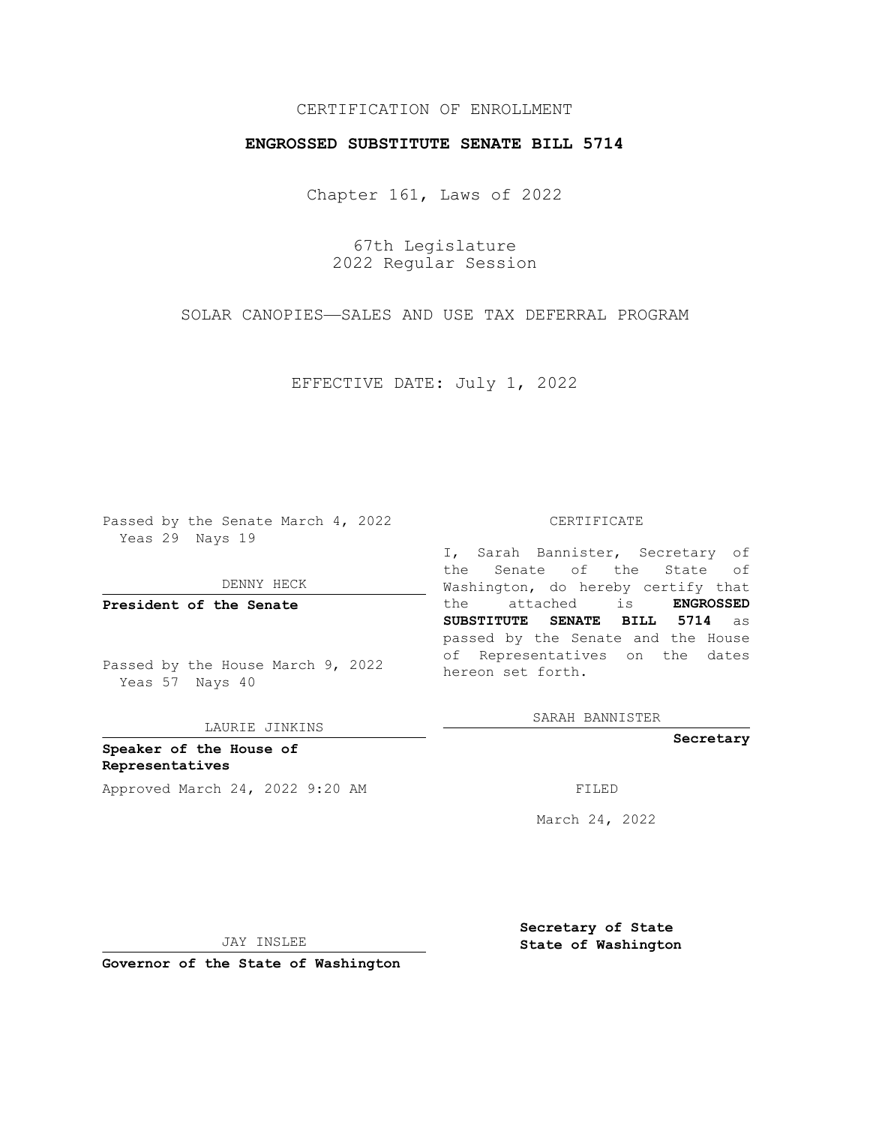## CERTIFICATION OF ENROLLMENT

## **ENGROSSED SUBSTITUTE SENATE BILL 5714**

Chapter 161, Laws of 2022

67th Legislature 2022 Regular Session

SOLAR CANOPIES—SALES AND USE TAX DEFERRAL PROGRAM

EFFECTIVE DATE: July 1, 2022

Passed by the Senate March 4, 2022 Yeas 29 Nays 19

DENNY HECK

**President of the Senate**

Passed by the House March 9, 2022 Yeas 57 Nays 40

LAURIE JINKINS

**Speaker of the House of Representatives** Approved March 24, 2022 9:20 AM FILED

## CERTIFICATE

I, Sarah Bannister, Secretary of the Senate of the State of Washington, do hereby certify that the attached is **ENGROSSED SUBSTITUTE SENATE BILL 5714** as passed by the Senate and the House of Representatives on the dates hereon set forth.

SARAH BANNISTER

**Secretary**

March 24, 2022

JAY INSLEE

**Secretary of State State of Washington**

**Governor of the State of Washington**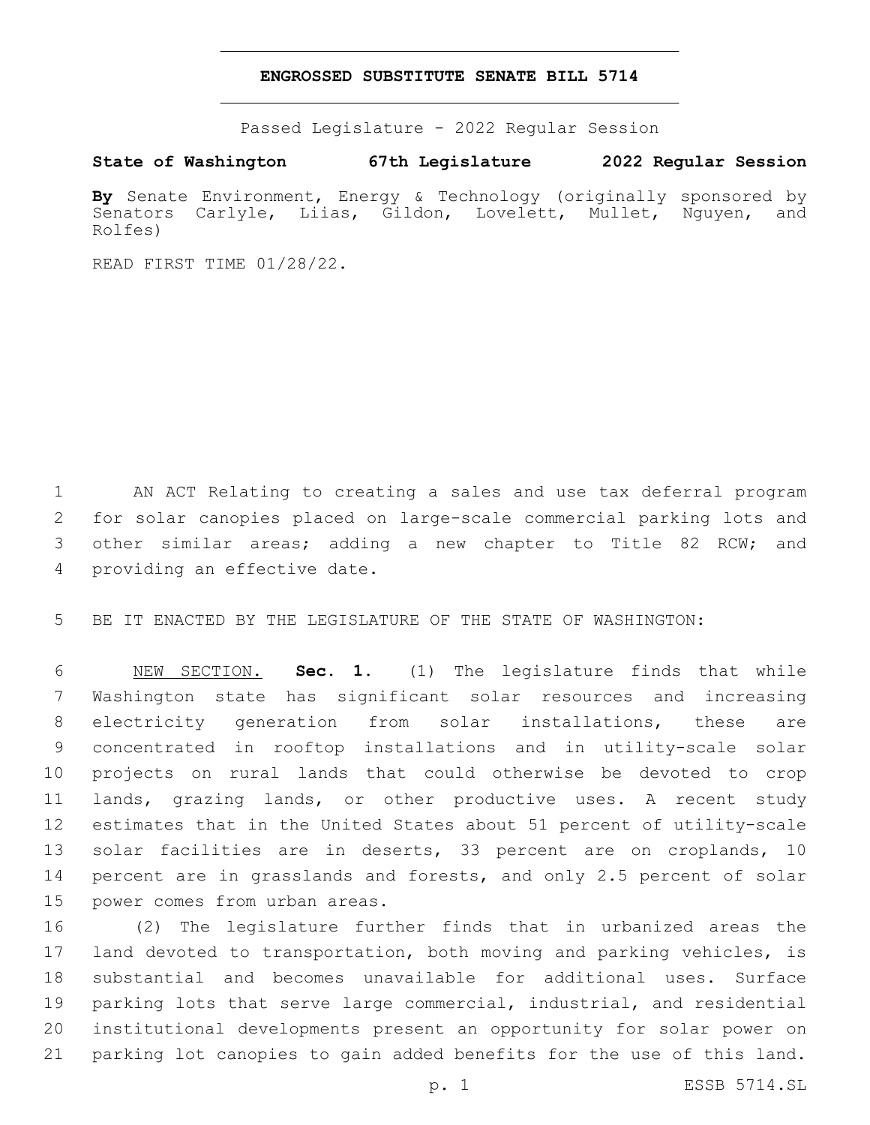## **ENGROSSED SUBSTITUTE SENATE BILL 5714**

Passed Legislature - 2022 Regular Session

**State of Washington 67th Legislature 2022 Regular Session**

**By** Senate Environment, Energy & Technology (originally sponsored by Senators Carlyle, Liias, Gildon, Lovelett, Mullet, Nguyen, and Rolfes)

READ FIRST TIME 01/28/22.

 AN ACT Relating to creating a sales and use tax deferral program for solar canopies placed on large-scale commercial parking lots and other similar areas; adding a new chapter to Title 82 RCW; and 4 providing an effective date.

BE IT ENACTED BY THE LEGISLATURE OF THE STATE OF WASHINGTON:

 NEW SECTION. **Sec. 1.** (1) The legislature finds that while Washington state has significant solar resources and increasing electricity generation from solar installations, these are concentrated in rooftop installations and in utility-scale solar projects on rural lands that could otherwise be devoted to crop lands, grazing lands, or other productive uses. A recent study estimates that in the United States about 51 percent of utility-scale solar facilities are in deserts, 33 percent are on croplands, 10 percent are in grasslands and forests, and only 2.5 percent of solar power comes from urban areas.

 (2) The legislature further finds that in urbanized areas the land devoted to transportation, both moving and parking vehicles, is substantial and becomes unavailable for additional uses. Surface parking lots that serve large commercial, industrial, and residential institutional developments present an opportunity for solar power on parking lot canopies to gain added benefits for the use of this land.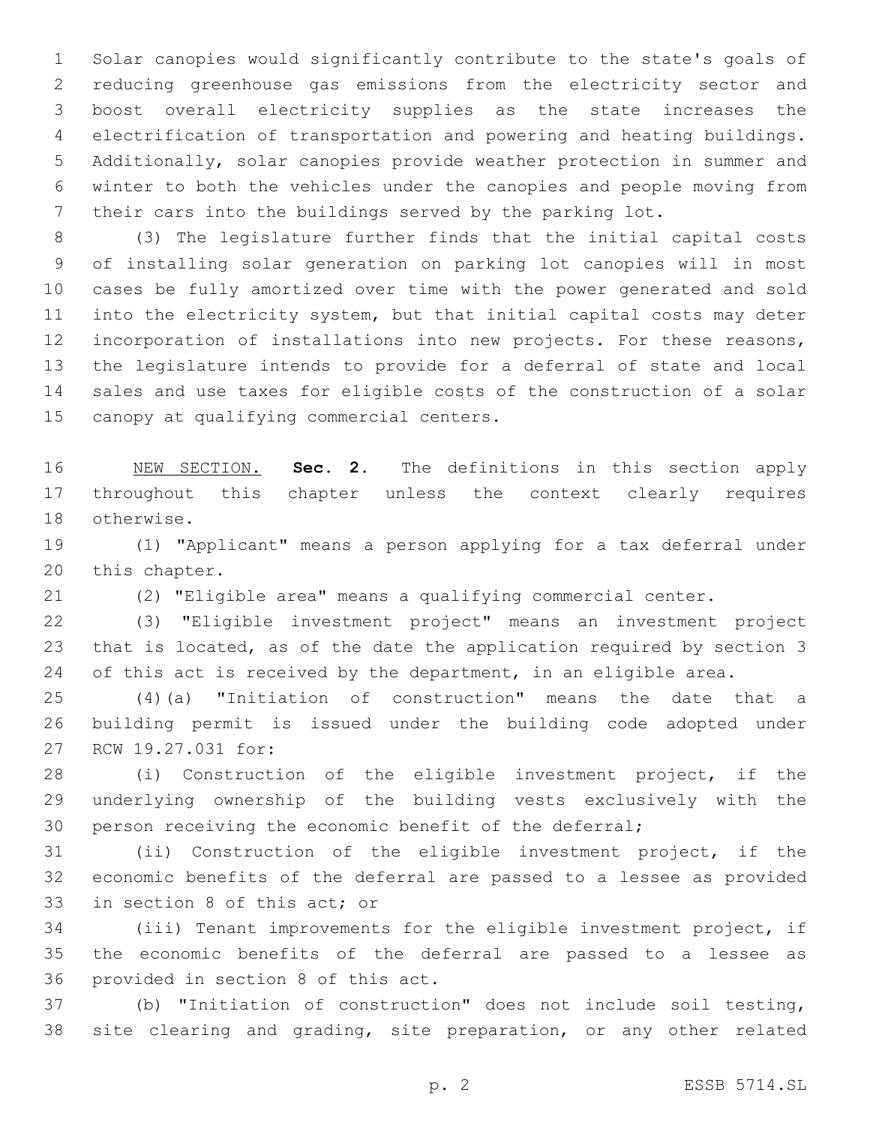Solar canopies would significantly contribute to the state's goals of reducing greenhouse gas emissions from the electricity sector and boost overall electricity supplies as the state increases the electrification of transportation and powering and heating buildings. Additionally, solar canopies provide weather protection in summer and winter to both the vehicles under the canopies and people moving from their cars into the buildings served by the parking lot.

 (3) The legislature further finds that the initial capital costs of installing solar generation on parking lot canopies will in most cases be fully amortized over time with the power generated and sold into the electricity system, but that initial capital costs may deter incorporation of installations into new projects. For these reasons, the legislature intends to provide for a deferral of state and local sales and use taxes for eligible costs of the construction of a solar 15 canopy at qualifying commercial centers.

 NEW SECTION. **Sec. 2.** The definitions in this section apply throughout this chapter unless the context clearly requires otherwise.

 (1) "Applicant" means a person applying for a tax deferral under 20 this chapter.

(2) "Eligible area" means a qualifying commercial center.

 (3) "Eligible investment project" means an investment project that is located, as of the date the application required by section 3 24 of this act is received by the department, in an eligible area.

 (4)(a) "Initiation of construction" means the date that a building permit is issued under the building code adopted under 27 RCW 19.27.031 for:

 (i) Construction of the eligible investment project, if the underlying ownership of the building vests exclusively with the person receiving the economic benefit of the deferral;

 (ii) Construction of the eligible investment project, if the economic benefits of the deferral are passed to a lessee as provided 33 in section 8 of this act; or

 (iii) Tenant improvements for the eligible investment project, if the economic benefits of the deferral are passed to a lessee as 36 provided in section 8 of this act.

 (b) "Initiation of construction" does not include soil testing, site clearing and grading, site preparation, or any other related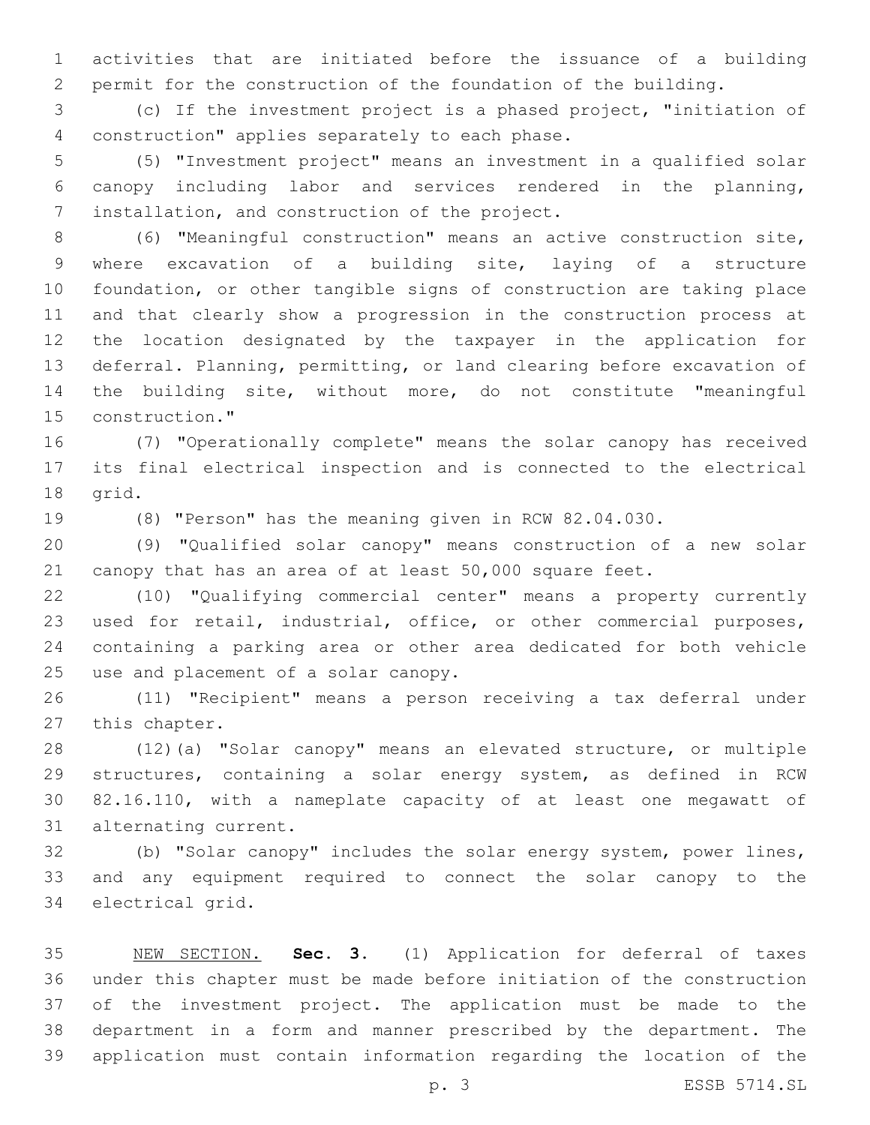activities that are initiated before the issuance of a building permit for the construction of the foundation of the building.

 (c) If the investment project is a phased project, "initiation of 4 construction" applies separately to each phase.

 (5) "Investment project" means an investment in a qualified solar canopy including labor and services rendered in the planning, 7 installation, and construction of the project.

 (6) "Meaningful construction" means an active construction site, where excavation of a building site, laying of a structure foundation, or other tangible signs of construction are taking place and that clearly show a progression in the construction process at the location designated by the taxpayer in the application for deferral. Planning, permitting, or land clearing before excavation of the building site, without more, do not constitute "meaningful 15 construction."

 (7) "Operationally complete" means the solar canopy has received its final electrical inspection and is connected to the electrical 18 grid.

(8) "Person" has the meaning given in RCW 82.04.030.

 (9) "Qualified solar canopy" means construction of a new solar canopy that has an area of at least 50,000 square feet.

 (10) "Qualifying commercial center" means a property currently used for retail, industrial, office, or other commercial purposes, containing a parking area or other area dedicated for both vehicle 25 use and placement of a solar canopy.

 (11) "Recipient" means a person receiving a tax deferral under 27 this chapter.

 (12)(a) "Solar canopy" means an elevated structure, or multiple structures, containing a solar energy system, as defined in RCW 82.16.110, with a nameplate capacity of at least one megawatt of 31 alternating current.

 (b) "Solar canopy" includes the solar energy system, power lines, and any equipment required to connect the solar canopy to the 34 electrical grid.

 NEW SECTION. **Sec. 3.** (1) Application for deferral of taxes under this chapter must be made before initiation of the construction of the investment project. The application must be made to the department in a form and manner prescribed by the department. The application must contain information regarding the location of the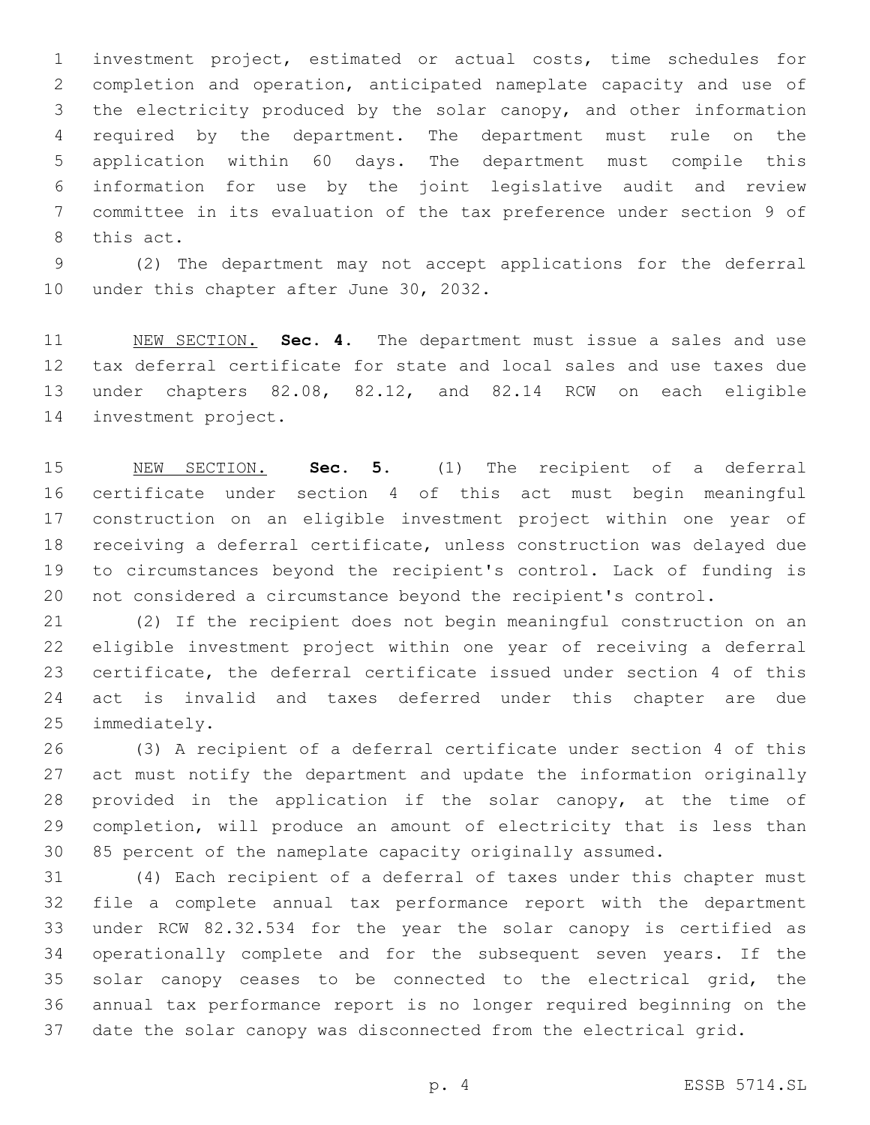investment project, estimated or actual costs, time schedules for completion and operation, anticipated nameplate capacity and use of the electricity produced by the solar canopy, and other information required by the department. The department must rule on the application within 60 days. The department must compile this information for use by the joint legislative audit and review committee in its evaluation of the tax preference under section 9 of 8 this act.

 (2) The department may not accept applications for the deferral 10 under this chapter after June 30, 2032.

 NEW SECTION. **Sec. 4.** The department must issue a sales and use tax deferral certificate for state and local sales and use taxes due under chapters 82.08, 82.12, and 82.14 RCW on each eligible investment project.

 NEW SECTION. **Sec. 5.** (1) The recipient of a deferral certificate under section 4 of this act must begin meaningful construction on an eligible investment project within one year of receiving a deferral certificate, unless construction was delayed due to circumstances beyond the recipient's control. Lack of funding is not considered a circumstance beyond the recipient's control.

 (2) If the recipient does not begin meaningful construction on an eligible investment project within one year of receiving a deferral certificate, the deferral certificate issued under section 4 of this act is invalid and taxes deferred under this chapter are due 25 immediately.

 (3) A recipient of a deferral certificate under section 4 of this act must notify the department and update the information originally provided in the application if the solar canopy, at the time of completion, will produce an amount of electricity that is less than 85 percent of the nameplate capacity originally assumed.

 (4) Each recipient of a deferral of taxes under this chapter must file a complete annual tax performance report with the department under RCW 82.32.534 for the year the solar canopy is certified as operationally complete and for the subsequent seven years. If the solar canopy ceases to be connected to the electrical grid, the annual tax performance report is no longer required beginning on the date the solar canopy was disconnected from the electrical grid.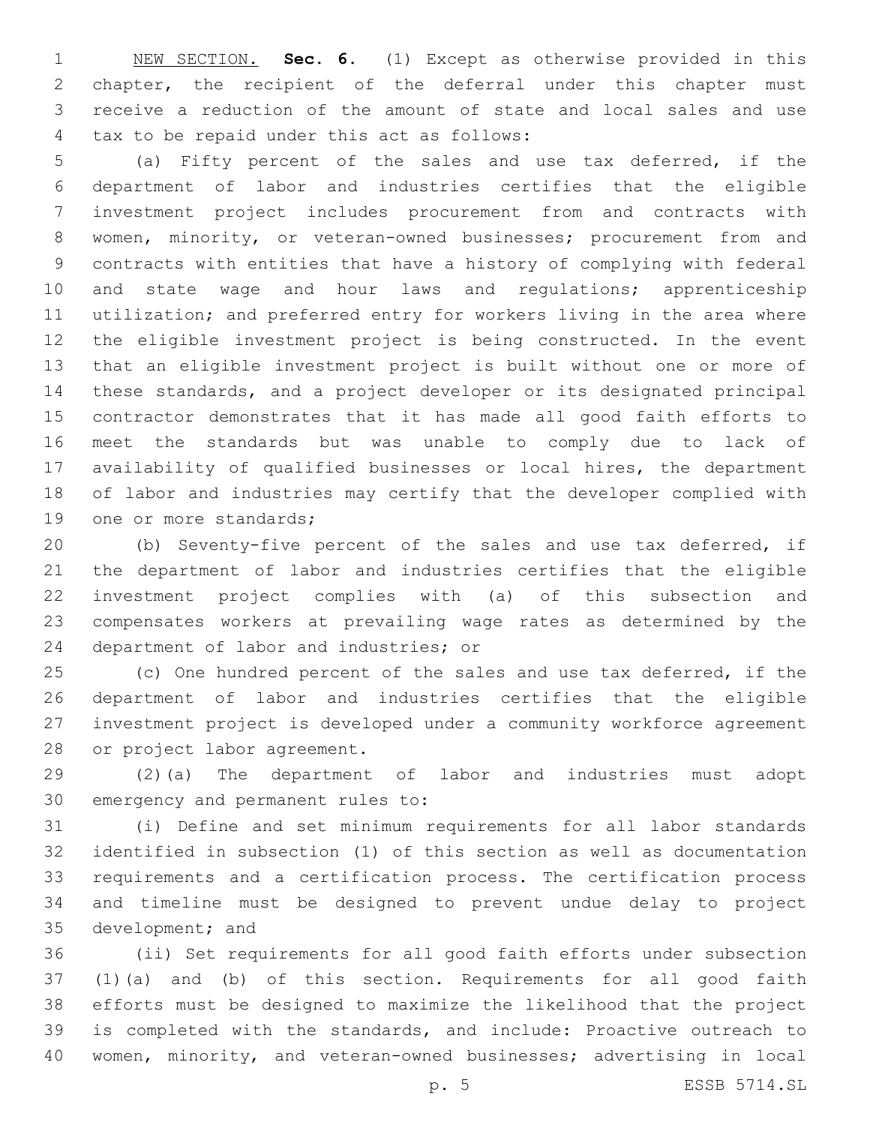NEW SECTION. **Sec. 6.** (1) Except as otherwise provided in this chapter, the recipient of the deferral under this chapter must receive a reduction of the amount of state and local sales and use tax to be repaid under this act as follows:

 (a) Fifty percent of the sales and use tax deferred, if the department of labor and industries certifies that the eligible investment project includes procurement from and contracts with women, minority, or veteran-owned businesses; procurement from and contracts with entities that have a history of complying with federal 10 and state wage and hour laws and regulations; apprenticeship utilization; and preferred entry for workers living in the area where the eligible investment project is being constructed. In the event that an eligible investment project is built without one or more of these standards, and a project developer or its designated principal contractor demonstrates that it has made all good faith efforts to meet the standards but was unable to comply due to lack of availability of qualified businesses or local hires, the department of labor and industries may certify that the developer complied with 19 one or more standards;

 (b) Seventy-five percent of the sales and use tax deferred, if the department of labor and industries certifies that the eligible investment project complies with (a) of this subsection and compensates workers at prevailing wage rates as determined by the 24 department of labor and industries; or

 (c) One hundred percent of the sales and use tax deferred, if the department of labor and industries certifies that the eligible investment project is developed under a community workforce agreement 28 or project labor agreement.

 (2)(a) The department of labor and industries must adopt 30 emergency and permanent rules to:

 (i) Define and set minimum requirements for all labor standards identified in subsection (1) of this section as well as documentation requirements and a certification process. The certification process and timeline must be designed to prevent undue delay to project 35 development; and

 (ii) Set requirements for all good faith efforts under subsection (1)(a) and (b) of this section. Requirements for all good faith efforts must be designed to maximize the likelihood that the project is completed with the standards, and include: Proactive outreach to women, minority, and veteran-owned businesses; advertising in local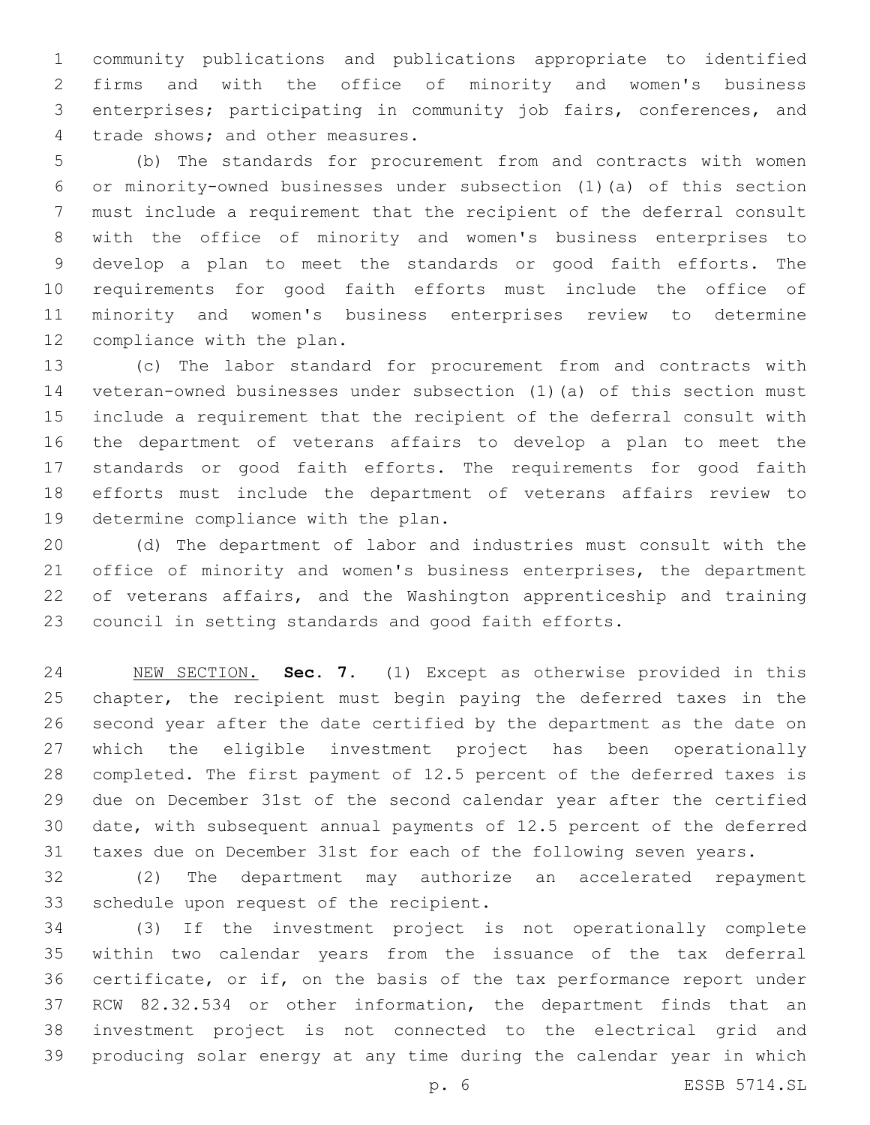community publications and publications appropriate to identified firms and with the office of minority and women's business enterprises; participating in community job fairs, conferences, and 4 trade shows; and other measures.

 (b) The standards for procurement from and contracts with women or minority-owned businesses under subsection (1)(a) of this section must include a requirement that the recipient of the deferral consult with the office of minority and women's business enterprises to develop a plan to meet the standards or good faith efforts. The requirements for good faith efforts must include the office of minority and women's business enterprises review to determine 12 compliance with the plan.

 (c) The labor standard for procurement from and contracts with veteran-owned businesses under subsection (1)(a) of this section must include a requirement that the recipient of the deferral consult with the department of veterans affairs to develop a plan to meet the standards or good faith efforts. The requirements for good faith efforts must include the department of veterans affairs review to 19 determine compliance with the plan.

 (d) The department of labor and industries must consult with the office of minority and women's business enterprises, the department of veterans affairs, and the Washington apprenticeship and training council in setting standards and good faith efforts.

 NEW SECTION. **Sec. 7.** (1) Except as otherwise provided in this chapter, the recipient must begin paying the deferred taxes in the second year after the date certified by the department as the date on which the eligible investment project has been operationally completed. The first payment of 12.5 percent of the deferred taxes is due on December 31st of the second calendar year after the certified date, with subsequent annual payments of 12.5 percent of the deferred taxes due on December 31st for each of the following seven years.

 (2) The department may authorize an accelerated repayment 33 schedule upon request of the recipient.

 (3) If the investment project is not operationally complete within two calendar years from the issuance of the tax deferral certificate, or if, on the basis of the tax performance report under RCW 82.32.534 or other information, the department finds that an investment project is not connected to the electrical grid and producing solar energy at any time during the calendar year in which

p. 6 ESSB 5714.SL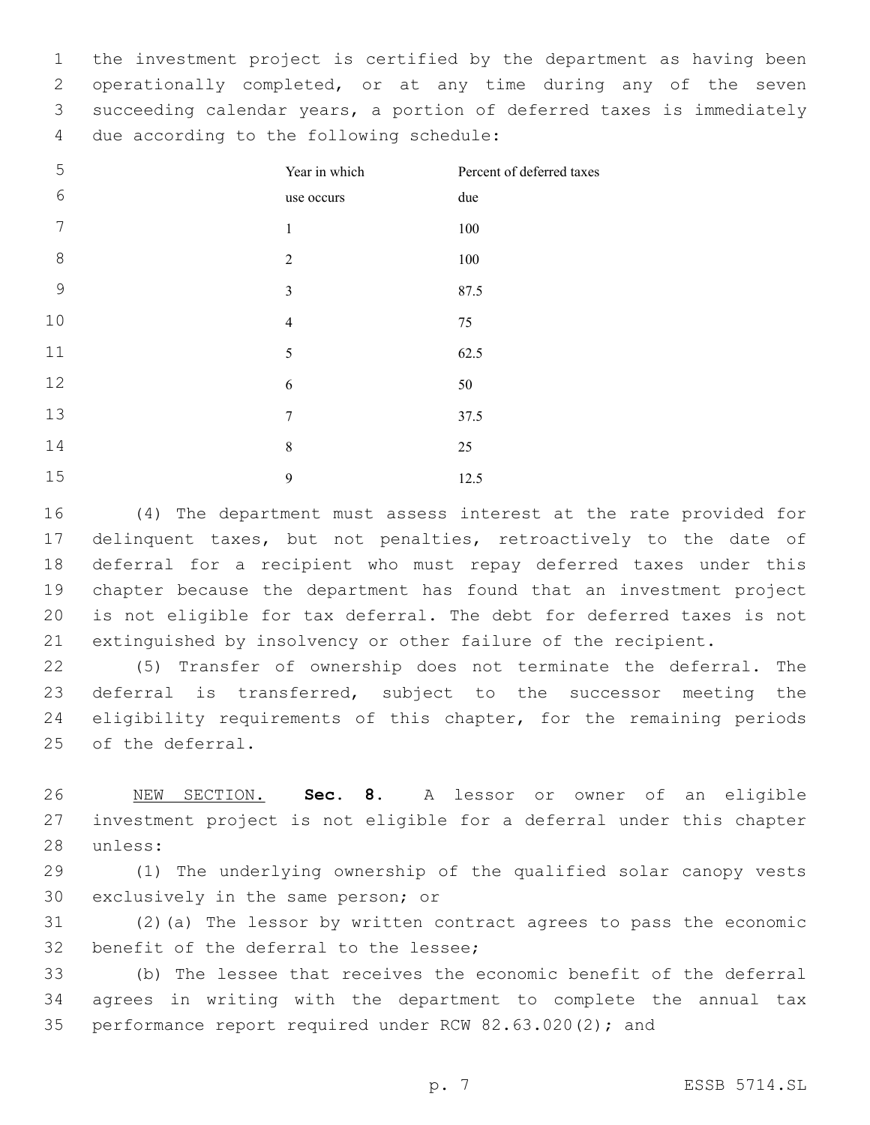the investment project is certified by the department as having been operationally completed, or at any time during any of the seven succeeding calendar years, a portion of deferred taxes is immediately 4 due according to the following schedule:

| 5               | Year in which  | Percent of deferred taxes |
|-----------------|----------------|---------------------------|
| $6\phantom{.}6$ | use occurs     | due                       |
| 7               | $\mathbf{1}$   | $100\,$                   |
| 8               | $\overline{2}$ | $100\,$                   |
| $\mathcal{G}$   | $\mathfrak{Z}$ | 87.5                      |
| 10              | $\overline{4}$ | 75                        |
| 11              | 5              | 62.5                      |
| 12              | 6              | 50                        |
| 13              | $\tau$         | 37.5                      |
| 14              | 8              | 25                        |
| 15              | 9              | 12.5                      |

 (4) The department must assess interest at the rate provided for 17 delinquent taxes, but not penalties, retroactively to the date of deferral for a recipient who must repay deferred taxes under this chapter because the department has found that an investment project is not eligible for tax deferral. The debt for deferred taxes is not extinguished by insolvency or other failure of the recipient.

 (5) Transfer of ownership does not terminate the deferral. The deferral is transferred, subject to the successor meeting the eligibility requirements of this chapter, for the remaining periods 25 of the deferral.

 NEW SECTION. **Sec. 8.** A lessor or owner of an eligible investment project is not eligible for a deferral under this chapter unless:

 (1) The underlying ownership of the qualified solar canopy vests 30 exclusively in the same person; or

 (2)(a) The lessor by written contract agrees to pass the economic 32 benefit of the deferral to the lessee;

 (b) The lessee that receives the economic benefit of the deferral agrees in writing with the department to complete the annual tax performance report required under RCW 82.63.020(2); and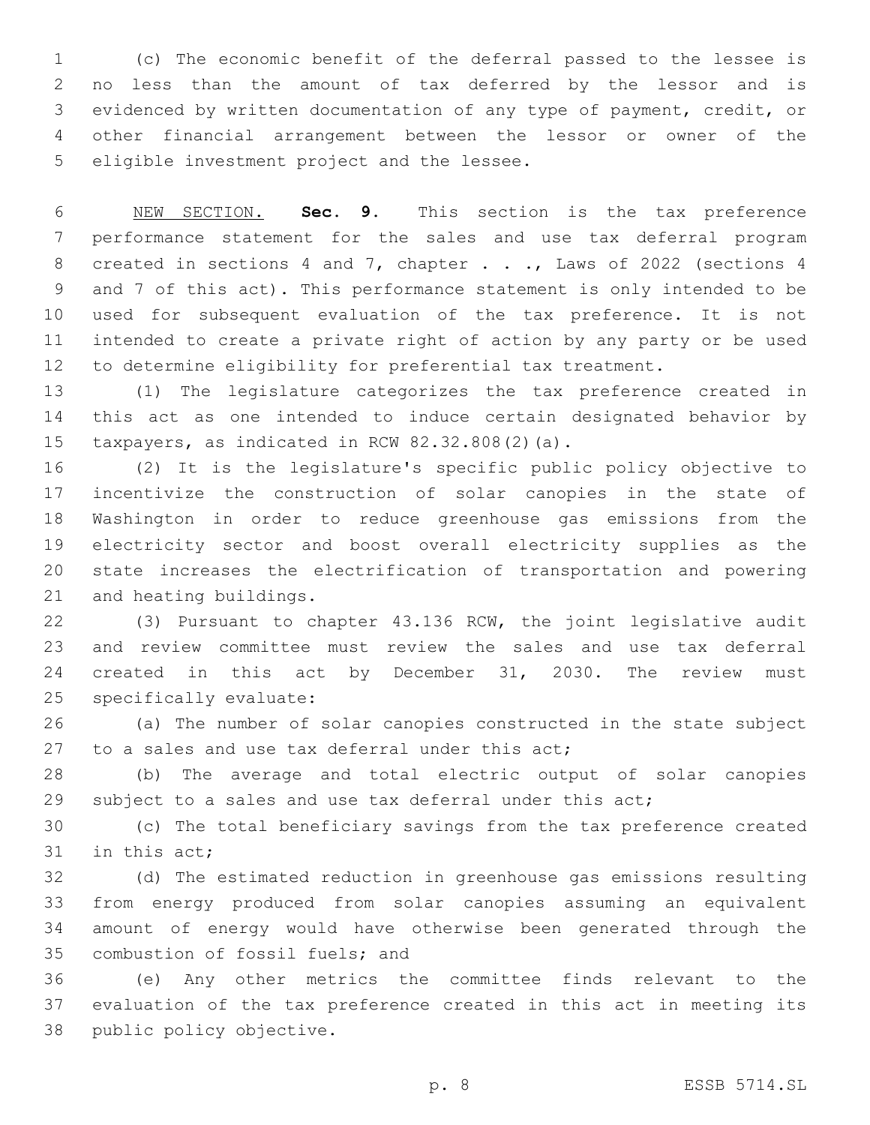(c) The economic benefit of the deferral passed to the lessee is no less than the amount of tax deferred by the lessor and is evidenced by written documentation of any type of payment, credit, or other financial arrangement between the lessor or owner of the 5 eligible investment project and the lessee.

 NEW SECTION. **Sec. 9.** This section is the tax preference performance statement for the sales and use tax deferral program 8 created in sections 4 and 7, chapter . . ., Laws of 2022 (sections 4 and 7 of this act). This performance statement is only intended to be used for subsequent evaluation of the tax preference. It is not intended to create a private right of action by any party or be used to determine eligibility for preferential tax treatment.

 (1) The legislature categorizes the tax preference created in this act as one intended to induce certain designated behavior by 15 taxpayers, as indicated in RCW  $82.32.808(2)(a)$ .

 (2) It is the legislature's specific public policy objective to incentivize the construction of solar canopies in the state of Washington in order to reduce greenhouse gas emissions from the electricity sector and boost overall electricity supplies as the state increases the electrification of transportation and powering 21 and heating buildings.

 (3) Pursuant to chapter 43.136 RCW, the joint legislative audit and review committee must review the sales and use tax deferral created in this act by December 31, 2030. The review must 25 specifically evaluate:

 (a) The number of solar canopies constructed in the state subject 27 to a sales and use tax deferral under this  $act$ ;

 (b) The average and total electric output of solar canopies 29 subject to a sales and use tax deferral under this act;

 (c) The total beneficiary savings from the tax preference created 31 in this act;

 (d) The estimated reduction in greenhouse gas emissions resulting from energy produced from solar canopies assuming an equivalent amount of energy would have otherwise been generated through the 35 combustion of fossil fuels; and

 (e) Any other metrics the committee finds relevant to the evaluation of the tax preference created in this act in meeting its 38 public policy objective.